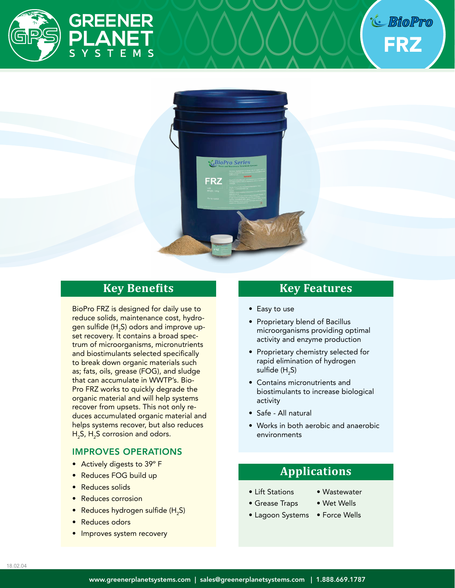

FRZ



## **Key Benefits**

BioPro FRZ is designed for daily use to reduce solids, maintenance cost, hydrogen sulfide (H<sub>2</sub>S) odors and improve upset recovery. It contains a broad spectrum of microorganisms, micronutrients and biostimulants selected specifically to break down organic materials such as; fats, oils, grease (FOG), and sludge that can accumulate in WWTP's. Bio-Pro FRZ works to quickly degrade the organic material and will help systems recover from upsets. This not only reduces accumulated organic material and helps systems recover, but also reduces  $H_2$ S,  $H_2$ S corrosion and odors.

### IMPROVES OPERATIONS

- Actively digests to 39° F
- Reduces FOG build up
- Reduces solids
- Reduces corrosion
- $\bullet$  Reduces hydrogen sulfide (H<sub>2</sub>S)
- Reduces odors
- Improves system recovery

## **Key Features**

- Easy to use
- Proprietary blend of Bacillus microorganisms providing optimal activity and enzyme production
- Proprietary chemistry selected for rapid elimination of hydrogen sulfide (H $_{\rm 2}$ S)
- Contains micronutrients and biostimulants to increase biological activity
- Safe All natural
- Works in both aerobic and anaerobic environments

# **Applications**

- Lift Stations • Grease Traps
- Wastewater
- Wet Wells
- Lagoon Systems Force Wells